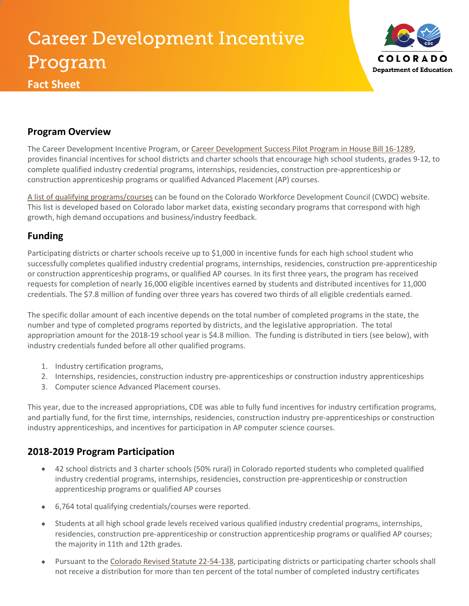# Career Development Incentive Program



**Fact Sheet**

#### **Program Overview**

The Career Development Incentive Program, o[r Career Development Success Pilot Program in House Bill 16-1289,](https://leg.colorado.gov/sites/default/files/documents/2016a/bills/2016A_1289_enr.pdf) provides financial incentives for school districts and charter schools that encourage high school students, grades 9-12, to complete qualified industry credential programs, internships, residencies, construction pre-apprenticeship or construction apprenticeship programs or qualified Advanced Placement (AP) courses.

[A list of qualifying programs/courses](https://www.colorado.gov/pacific/sites/default/files/AppendixJ_Career_Success_Development_Program_Approved_Industry-recognized_Credentials_HB16-1289.pdf) can be found on the Colorado Workforce Development Council (CWDC) website. This list is developed based on Colorado labor market data, existing secondary programs that correspond with high growth, high demand occupations and business/industry feedback.

## **Funding**

Participating districts or charter schools receive up to \$1,000 in incentive funds for each high school student who successfully completes qualified industry credential programs, internships, residencies, construction pre-apprenticeship or construction apprenticeship programs, or qualified AP courses. In its first three years, the program has received requests for completion of nearly 16,000 eligible incentives earned by students and distributed incentives for 11,000 credentials. The \$7.8 million of funding over three years has covered two thirds of all eligible credentials earned.

The specific dollar amount of each incentive depends on the total number of completed programs in the state, the number and type of completed programs reported by districts, and the legislative appropriation. The total appropriation amount for the 2018-19 school year is \$4.8 million. The funding is distributed in tiers (see below), with industry credentials funded before all other qualified programs.

- 1. Industry certification programs,
- 2. Internships, residencies, construction industry pre-apprenticeships or construction industry apprenticeships
- 3. Computer science Advanced Placement courses.

This year, due to the increased appropriations, CDE was able to fully fund incentives for industry certification programs, and partially fund, for the first time, internships, residencies, construction industry pre-apprenticeships or construction industry apprenticeships, and incentives for participation in AP computer science courses.

### **2018-2019 Program Participation**

- 42 school districts and 3 charter schools (50% rural) in Colorado reported students who completed qualified industry credential programs, internships, residencies, construction pre-apprenticeship or construction apprenticeship programs or qualified AP courses
- 6,764 total qualifying credentials/courses were reported.
- Students at all high school grade levels received various qualified industry credential programs, internships, residencies, construction pre-apprenticeship or construction apprenticeship programs or qualified AP courses; the majority in 11th and 12th grades.
- Pursuant to the [Colorado Revised Statute 22-54-138,](https://leg.colorado.gov/sites/default/files/documents/2018A/bills/2018a_1266_signed.pdf) participating districts or participating charter schools shall not receive a distribution for more than ten percent of the total number of completed industry certificates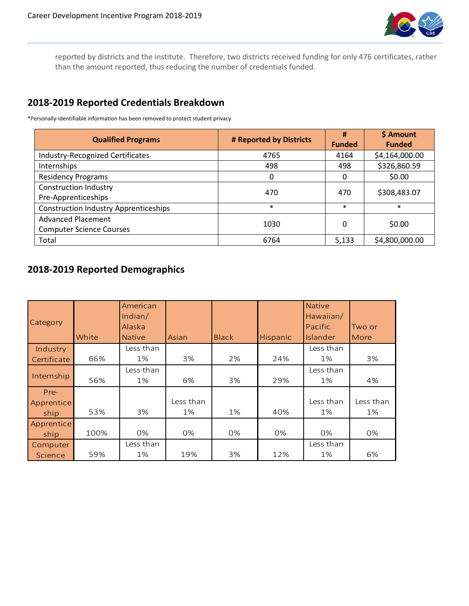

reported by districts and the institute. Therefore, two districts received funding for only 476 certificates, rather than the amount reported, thus reducing the number of credentials funded.

## **2018-2019 Reported Credentials Breakdown**

\*Personally-identifiable information has been removed to protect student privacy

| <b>Qualified Programs</b>                                    | # Reported by Districts | #<br><b>Funded</b> | \$ Amount<br><b>Funded</b> |
|--------------------------------------------------------------|-------------------------|--------------------|----------------------------|
| Industry-Recognized Certificates                             | 4765                    | 4164               | \$4,164,000.00             |
| Internships                                                  | 498                     | 498                | \$326,860.59               |
| <b>Residency Programs</b>                                    | 0                       | 0                  | \$0.00                     |
| <b>Construction Industry</b><br>Pre-Apprenticeships          | 470                     | 470                | \$308,483.07               |
| <b>Construction Industry Apprenticeships</b>                 | $\ast$                  | $\ast$             | $\ast$                     |
| <b>Advanced Placement</b><br><b>Computer Science Courses</b> | 1030                    | 0                  | \$0.00                     |
| Total                                                        | 6764                    | 5,133              | \$4,800,000.00             |

#### **2018-2019 Reported Demographics**

| Category    | White | American<br>Indian/<br>Alaska<br><b>Native</b> | Asian     | <b>Black</b> | Hispanic | <b>Native</b><br>Hawaiian/<br>Pacific<br>Islander | Two or<br>More |
|-------------|-------|------------------------------------------------|-----------|--------------|----------|---------------------------------------------------|----------------|
| Industry    |       | Less than                                      |           |              |          | Less than                                         |                |
| Certificate | 66%   | 1%                                             | 3%        | 2%           | 24%      | 1%                                                | 3%             |
|             |       | Less than                                      |           |              |          | Less than                                         |                |
| Internship  | 56%   | 1%                                             | 6%        | 3%           | 29%      | 1%                                                | 4%             |
| Pre-        |       |                                                |           |              |          |                                                   |                |
| Apprentice  |       |                                                | Less than |              |          | Less than                                         | Less than      |
| ship        | 53%   | 3%                                             | 1%        | 1%           | 40%      | 1%                                                | 1%             |
| Apprentice  |       |                                                |           |              |          |                                                   |                |
| ship        | 100%  | 0%                                             | 0%        | 0%           | 0%       | 0%                                                | 0%             |
| Computer    |       | Less than                                      |           |              |          | Less than                                         |                |
| Science     | 59%   | 1%                                             | 19%       | 3%           | 12%      | 1%                                                | 6%             |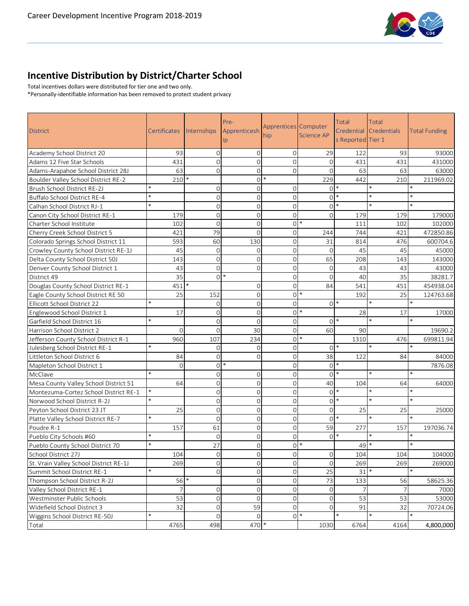

# **Incentive Distribution by District/Charter School**

Total incentives dollars were distributed for tier one and two only.

\*Personally-identifiable information has been removed to protect student privacy

|                                        |                          |                | Pre-                |                      |                     | Total             | <b>Total</b>       |                      |
|----------------------------------------|--------------------------|----------------|---------------------|----------------------|---------------------|-------------------|--------------------|----------------------|
| <b>District</b>                        | Certificates Internships |                | Apprenticesh        | Apprentices Computer |                     | Credential        | <b>Credentials</b> | <b>Total Funding</b> |
|                                        |                          |                | ip                  | hip                  | <b>Science AP</b>   | s Reported Tier 1 |                    |                      |
| Academy School District 20             | 93                       | $\Omega$       | $\mathbf{O}$        | $\mathbf{O}$         | 29                  | 122               | 93                 | 93000                |
| Adams 12 Five Star Schools             | 431                      | $\Omega$       | $\mathbf 0$         | $\Omega$             | $\Omega$            | 431               | 431                | 431000               |
| Adams-Arapahoe School District 28J     | 63                       | $\Omega$       | $\overline{0}$      | $\Omega$             | $\Omega$            | 63                | 63                 | 63000                |
| Boulder Valley School District RE-2    | $210*$                   |                | $\mathsf{O}\xspace$ | $\ast$               | 229                 | 442               | 210                | 211969.02            |
| Brush School District RE-2J            |                          | $\overline{0}$ | $\overline{0}$      | $\mathbf{O}$         | $0$ <sup>*</sup>    |                   | $\ast$             |                      |
| <b>Buffalo School District RE-4</b>    | $\ast$                   | $\Omega$       | $\overline{0}$      | $\Omega$             | $\overline{0}$      |                   | $\ast$             |                      |
| Calhan School District RJ-1            |                          | $\overline{0}$ | $\mathbf 0$         | $\mathbf{O}$         | $0$ <sup>*</sup>    |                   | $\ast$             |                      |
| Canon City School District RE-1        | 179                      | $\overline{0}$ | $\mathbf 0$         | $\mathbf{O}$         | $\mathbf 0$         | 179               | 179                | 179000               |
| Charter School Institute               | 102                      | $\mathbf{O}$   | $\overline{0}$      | $\Omega$             | $\ast$              | 111               | 102                | 102000               |
| Cherry Creek School District 5         | 421                      | 79             | $\overline{O}$      | $\mathbf{O}$         | 244                 | 744               | 421                | 472850.86            |
| Colorado Springs School District 11    | 593                      | 60             | 130                 | $\mathbf{O}$         | 31                  | 814               | 476                | 600704.6             |
| Crowley County School District RE-1J   | 45                       | $\Omega$       | $\overline{0}$      | $\Omega$             | $\overline{0}$      | 45                | 45                 | 45000                |
| Delta County School District 50J       | 143                      | $\mathbf 0$    | $\overline{0}$      | $\mathbf{O}$         | 65                  | 208               | 143                | 143000               |
| Denver County School District 1        | 43                       | $\overline{0}$ | $\overline{0}$      | $\mathbf{O}$         | $\overline{0}$      | 43                | 43                 | 43000                |
| District 49                            | 35                       | $\Omega$       | $\ast$              | $\mathbf{O}$         | $\overline{0}$      | 40                | 35                 | 38281.7              |
| Douglas County School District RE-1    | 451                      |                | $\mathbf{O}$        | $\mathbf{O}$         | 84                  | 541               | 451                | 454938.04            |
| Eagle County School District RE 50     | 25                       | 152            | $\mathbf 0$         | $\overline{O}$       | $\ast$              | 192               | 25                 | 124763.68            |
| Ellicott School District 22            |                          | $\overline{0}$ | $\mathbf 0$         | 0                    | $0*$                |                   | $\ast$             |                      |
| Englewood School District 1            | 17                       | $\Omega$       | $\overline{0}$      | $\Omega$             | $\ast$              | 28                | 17                 | 17000                |
| Garfield School District 16            |                          | $\Omega$       | $\overline{O}$      | $\mathbf{O}$         | $\Omega$            | ∣∗                |                    |                      |
| Harrison School District 2             | $\mathcal{O}$            | $\overline{0}$ | 30                  | $\mathbf{O}$         | 60                  | 90                |                    | 19690.2              |
| Jefferson County School District R-1   | 960                      | 107            | 234                 | $\overline{O}$       | $\ast$              | 1310              | 476                | 699811.94            |
| Julesberg School District RE-1         |                          | $\Omega$       | $\mathbf 0$         | $\Omega$             | $0$ <sup>*</sup>    |                   |                    |                      |
| Littleton School District 6            | 84                       | $\overline{0}$ | $\overline{0}$      | $\Omega$             | 38                  | 122               | 84                 | 84000                |
| Mapleton School District 1             | $\overline{0}$           | $\Omega$       | $\ast$              | $\mathbf{O}$         | $0*$                |                   |                    | 7876.08              |
| McClave                                | $\ast$                   | $\Omega$       | $\mathbf 0$         | $\Omega$             | $\Omega$            | ∣∗                | $\ast$             |                      |
| Mesa County Valley School District 51  | 64                       | $\overline{0}$ | $\mathbf 0$         | $\mathbf{O}$         | 40                  | 104               | 64                 | 64000                |
| Montezuma-Cortez School District RE-1  | $\ast$                   | $\overline{0}$ | $\mathbf 0$         | $\Omega$             | $\mathbf{O}$        |                   |                    |                      |
| Norwood School District R-2J           |                          | $\overline{0}$ | $\mathbf 0$         | $\mathbf{O}$         | $\Omega$            | $\ast$            |                    |                      |
| Peyton School District 23 JT           | 25                       | $\Omega$       | $\mathbf 0$         | $\mathbf{O}$         | $\mathbf 0$         | 25                | 25                 | 25000                |
| Platte Valley School District RE-7     |                          | $\Omega$       | $\overline{0}$      | $\mathbf{O}$         | $\mathbf{O}$        | $\ast$            | $\ast$             | $\ast$               |
| Poudre R-1                             | 157                      | 61             | $\mathbf 0$         | $\mathbf{O}$         | 59                  | 277               | 157                | 197036.74            |
| Pueblo City Schools #60                |                          | $\Omega$       | $\mathbf 0$         | $\overline{O}$       | $0$ <sup>*</sup>    |                   |                    |                      |
| Pueblo County School District 70       | $\ast$                   | 27             | $\mathbf 0$         | $\overline{O}$       | $\ast$              | 49                | $\ast$             |                      |
| School District 27J                    | 104                      | $\Omega$       | $\overline{0}$      | $\Omega$             | $\Omega$            | 104               | 104                | 104000               |
| St. Vrain Valley School District RE-1J | 269                      | 0              | $\mathsf{O}\xspace$ | $\mathbf 0$          | $\mathsf{O}\xspace$ | 269               | 269                | 269000               |
| Summit School District RE-1            |                          | $\overline{0}$ | $\mathbf 0$         | $\mathbf{0}$         | 25                  | 31                | $\ast$             |                      |
| Thompson School District R-2J          | 56                       | $\ast$         | $\mathbf 0$         | $\mathbf 0$          | 73                  | 133               | 56                 | 58625.36             |
| Valley School District RE-1            | $\overline{7}$           | $\overline{0}$ | $\mathbf 0$         | $\overline{O}$       | $\mathbf 0$         | $\overline{7}$    | $\overline{7}$     | 7000                 |
| Westminster Public Schools             | 53                       | $\mathbf 0$    | $\overline{0}$      | $\mathbf 0$          | $\mathsf{O}\xspace$ | 53                | 53                 | 53000                |
| Widefield School District 3            | 32                       | $\mathbf 0$    | 59                  | $\mathbf{O}$         | $\Omega$            | 91                | 32                 | 70724.06             |
| Wiggins School District RE-50J         |                          | $\overline{0}$ | $\mathsf O$         |                      | $0*$                | $\ast$            |                    | $\ast$               |
| Total                                  | 4765                     | 498            | 470 *               |                      | 1030                | 6764              | 4164               | 4,800,000            |